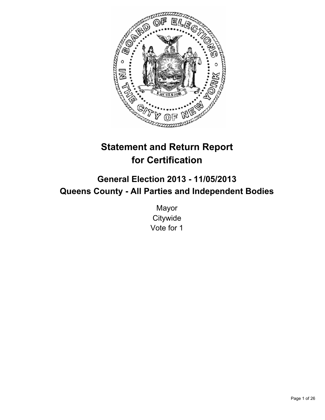

# **Statement and Return Report for Certification**

# **General Election 2013 - 11/05/2013 Queens County - All Parties and Independent Bodies**

Mayor **Citywide** Vote for 1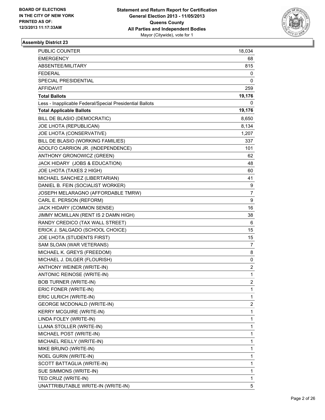

| PUBLIC COUNTER                                           | 18,034         |
|----------------------------------------------------------|----------------|
| <b>EMERGENCY</b>                                         | 68             |
| ABSENTEE/MILITARY                                        | 815            |
| <b>FEDERAL</b>                                           | 0              |
| SPECIAL PRESIDENTIAL                                     | 0              |
| <b>AFFIDAVIT</b>                                         | 259            |
| <b>Total Ballots</b>                                     | 19,176         |
| Less - Inapplicable Federal/Special Presidential Ballots | 0              |
| <b>Total Applicable Ballots</b>                          | 19,176         |
| BILL DE BLASIO (DEMOCRATIC)                              | 8,650          |
| JOE LHOTA (REPUBLICAN)                                   | 8,134          |
| JOE LHOTA (CONSERVATIVE)                                 | 1,207          |
| BILL DE BLASIO (WORKING FAMILIES)                        | 337            |
| ADOLFO CARRION JR. (INDEPENDENCE)                        | 101            |
| ANTHONY GRONOWICZ (GREEN)                                | 62             |
| JACK HIDARY (JOBS & EDUCATION)                           | 48             |
| JOE LHOTA (TAXES 2 HIGH)                                 | 60             |
| MICHAEL SANCHEZ (LIBERTARIAN)                            | 41             |
| DANIEL B. FEIN (SOCIALIST WORKER)                        | 9              |
| JOSEPH MELARAGNO (AFFORDABLE TMRW)                       | 7              |
| CARL E. PERSON (REFORM)                                  | 9              |
| JACK HIDARY (COMMON SENSE)                               | 16             |
| JIMMY MCMILLAN (RENT IS 2 DAMN HIGH)                     | 38             |
| RANDY CREDICO (TAX WALL STREET)                          | 6              |
| ERICK J. SALGADO (SCHOOL CHOICE)                         | 15             |
| JOE LHOTA (STUDENTS FIRST)                               | 15             |
| SAM SLOAN (WAR VETERANS)                                 | 7              |
| MICHAEL K. GREYS (FREEDOM)                               | 8              |
| MICHAEL J. DILGER (FLOURISH)                             | 0              |
| ANTHONY WEINER (WRITE-IN)                                | 2              |
| ANTONIC REINOSE (WRITE-IN)                               | 1              |
| <b>BOB TURNER (WRITE-IN)</b>                             | $\overline{2}$ |
| ERIC FONER (WRITE-IN)                                    | 1              |
| ERIC ULRICH (WRITE-IN)                                   | 1              |
| <b>GEORGE MCDONALD (WRITE-IN)</b>                        | 2              |
| <b>KERRY MCGUIRE (WRITE-IN)</b>                          | 1              |
| LINDA FOLEY (WRITE-IN)                                   | 1              |
| LLANA STOLLER (WRITE-IN)                                 | 1              |
| MICHAEL POST (WRITE-IN)                                  | 1              |
| MICHAEL REILLY (WRITE-IN)                                | 1              |
| MIKE BRUNO (WRITE-IN)                                    | 1              |
| <b>NOEL GURIN (WRITE-IN)</b>                             | 1              |
| SCOTT BATTAGLIA (WRITE-IN)                               | 1              |
| SUE SIMMONS (WRITE-IN)                                   | 1              |
| TED CRUZ (WRITE-IN)                                      | 1              |
| UNATTRIBUTABLE WRITE-IN (WRITE-IN)                       | 5              |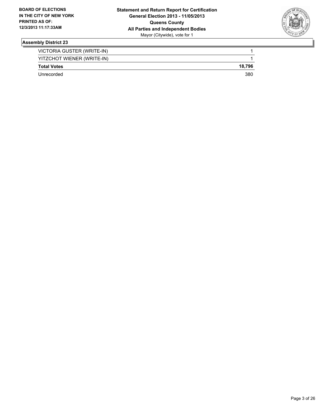

| VICTORIA GUSTER (WRITE-IN) |        |
|----------------------------|--------|
| YITZCHOT WIENER (WRITE-IN) |        |
| <b>Total Votes</b>         | 18.796 |
| Unrecorded                 | 380    |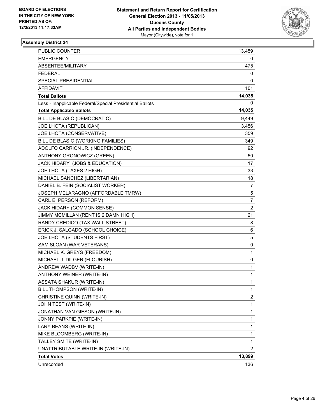

| PUBLIC COUNTER                                           | 13,459         |
|----------------------------------------------------------|----------------|
| <b>EMERGENCY</b>                                         | 0              |
| ABSENTEE/MILITARY                                        | 475            |
| <b>FEDERAL</b>                                           | 0              |
| SPECIAL PRESIDENTIAL                                     | 0              |
| <b>AFFIDAVIT</b>                                         | 101            |
| <b>Total Ballots</b>                                     | 14,035         |
| Less - Inapplicable Federal/Special Presidential Ballots | 0              |
| <b>Total Applicable Ballots</b>                          | 14,035         |
| BILL DE BLASIO (DEMOCRATIC)                              | 9,449          |
| JOE LHOTA (REPUBLICAN)                                   | 3,456          |
| JOE LHOTA (CONSERVATIVE)                                 | 359            |
| BILL DE BLASIO (WORKING FAMILIES)                        | 349            |
| ADOLFO CARRION JR. (INDEPENDENCE)                        | 92.            |
| ANTHONY GRONOWICZ (GREEN)                                | 50             |
| JACK HIDARY (JOBS & EDUCATION)                           | 17             |
| JOE LHOTA (TAXES 2 HIGH)                                 | 33             |
| MICHAEL SANCHEZ (LIBERTARIAN)                            | 18             |
| DANIEL B. FEIN (SOCIALIST WORKER)                        | 7              |
| JOSEPH MELARAGNO (AFFORDABLE TMRW)                       | 5              |
| CARL E. PERSON (REFORM)                                  | 7              |
| JACK HIDARY (COMMON SENSE)                               | $\overline{2}$ |
| JIMMY MCMILLAN (RENT IS 2 DAMN HIGH)                     | 21             |
| RANDY CREDICO (TAX WALL STREET)                          | 8              |
| ERICK J. SALGADO (SCHOOL CHOICE)                         | 6              |
| JOE LHOTA (STUDENTS FIRST)                               | 5              |
| SAM SLOAN (WAR VETERANS)                                 | 0              |
| MICHAEL K. GREYS (FREEDOM)                               | 1              |
| MICHAEL J. DILGER (FLOURISH)                             | 0              |
| ANDREW WADBV (WRITE-IN)                                  | 1              |
| ANTHONY WEINER (WRITE-IN)                                | 1              |
| <b>ASSATA SHAKUR (WRITE-IN)</b>                          | 1              |
| BILL THOMPSON (WRITE-IN)                                 | 1              |
| CHRISTINE QUINN (WRITE-IN)                               | $\overline{2}$ |
| JOHN TEST (WRITE-IN)                                     | 1              |
| JONATHAN VAN GIESON (WRITE-IN)                           | 1              |
| JONNY PARKPIE (WRITE-IN)                                 | 1              |
| LARY BEANS (WRITE-IN)                                    | 1              |
| MIKE BLOOMBERG (WRITE-IN)                                | 1              |
| TALLEY SMITE (WRITE-IN)                                  | 1              |
| UNATTRIBUTABLE WRITE-IN (WRITE-IN)                       | $\overline{2}$ |
| <b>Total Votes</b>                                       | 13,899         |
| Unrecorded                                               | 136            |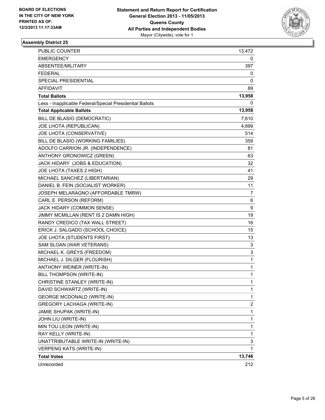

| PUBLIC COUNTER                                           | 13,472 |
|----------------------------------------------------------|--------|
| <b>EMERGENCY</b>                                         | 0      |
| ABSENTEE/MILITARY                                        | 397    |
| <b>FEDERAL</b>                                           | 0      |
| SPECIAL PRESIDENTIAL                                     | 0      |
| AFFIDAVIT                                                | 89     |
| <b>Total Ballots</b>                                     | 13,958 |
| Less - Inapplicable Federal/Special Presidential Ballots | 0      |
| <b>Total Applicable Ballots</b>                          | 13,958 |
| BILL DE BLASIO (DEMOCRATIC)                              | 7,610  |
| JOE LHOTA (REPUBLICAN)                                   | 4,899  |
| JOE LHOTA (CONSERVATIVE)                                 | 514    |
| BILL DE BLASIO (WORKING FAMILIES)                        | 359    |
| ADOLFO CARRION JR. (INDEPENDENCE)                        | 81     |
| ANTHONY GRONOWICZ (GREEN)                                | 63     |
| JACK HIDARY (JOBS & EDUCATION)                           | 32     |
| JOE LHOTA (TAXES 2 HIGH)                                 | 41     |
| MICHAEL SANCHEZ (LIBERTARIAN)                            | 29.    |
| DANIEL B. FEIN (SOCIALIST WORKER)                        | 11     |
| JOSEPH MELARAGNO (AFFORDABLE TMRW)                       | 7      |
| CARL E. PERSON (REFORM)                                  | 6      |
| JACK HIDARY (COMMON SENSE)                               | 9      |
| JIMMY MCMILLAN (RENT IS 2 DAMN HIGH)                     | 19     |
| RANDY CREDICO (TAX WALL STREET)                          | 16     |
| ERICK J. SALGADO (SCHOOL CHOICE)                         | 15     |
| JOE LHOTA (STUDENTS FIRST)                               | 13     |
| SAM SLOAN (WAR VETERANS)                                 | 3      |
| MICHAEL K. GREYS (FREEDOM)                               | 3      |
| MICHAEL J. DILGER (FLOURISH)                             | 1      |
| ANTHONY WEINER (WRITE-IN)                                | 1      |
| BILL THOMPSON (WRITE-IN)                                 | 1      |
| CHRISTINE STANLEY (WRITE-IN)                             | 1      |
| DAVID SCHWARTZ (WRITE-IN)                                | 1      |
| <b>GEORGE MCDONALD (WRITE-IN)</b>                        | 1      |
| GREGORY LACHAGA (WRITE-IN)                               | 2      |
| JAMIE SHUPAK (WRITE-IN)                                  | 1      |
| JOHN LIU (WRITE-IN)                                      | 1      |
| MIN TOU LEON (WRITE-IN)                                  | 1      |
| RAY KELLY (WRITE-IN)                                     | 1      |
| UNATTRIBUTABLE WRITE-IN (WRITE-IN)                       | 3      |
| <b>VERPENG KATS (WRITE-IN)</b>                           | 1      |
| <b>Total Votes</b>                                       | 13,746 |
| Unrecorded                                               | 212    |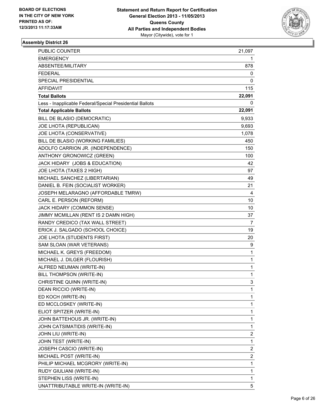

| PUBLIC COUNTER                                           | 21,097                  |
|----------------------------------------------------------|-------------------------|
| EMERGENCY                                                | 1.                      |
| ABSENTEE/MILITARY                                        | 878                     |
| FEDERAL                                                  | 0                       |
| SPECIAL PRESIDENTIAL                                     | 0                       |
| AFFIDAVIT                                                | 115                     |
| <b>Total Ballots</b>                                     | 22,091                  |
| Less - Inapplicable Federal/Special Presidential Ballots | 0                       |
| <b>Total Applicable Ballots</b>                          | 22,091                  |
| BILL DE BLASIO (DEMOCRATIC)                              | 9,933                   |
| JOE LHOTA (REPUBLICAN)                                   | 9,693                   |
| JOE LHOTA (CONSERVATIVE)                                 | 1,078                   |
| BILL DE BLASIO (WORKING FAMILIES)                        | 450                     |
| ADOLFO CARRION JR. (INDEPENDENCE)                        | 150                     |
| ANTHONY GRONOWICZ (GREEN)                                | 100                     |
| JACK HIDARY (JOBS & EDUCATION)                           | 42                      |
| JOE LHOTA (TAXES 2 HIGH)                                 | 97                      |
| MICHAEL SANCHEZ (LIBERTARIAN)                            | 49                      |
| DANIEL B. FEIN (SOCIALIST WORKER)                        | 21                      |
| JOSEPH MELARAGNO (AFFORDABLE TMRW)                       | 4                       |
| CARL E. PERSON (REFORM)                                  | 10                      |
| JACK HIDARY (COMMON SENSE)                               | 10                      |
| JIMMY MCMILLAN (RENT IS 2 DAMN HIGH)                     | 37                      |
| RANDY CREDICO (TAX WALL STREET)                          | 7                       |
| ERICK J. SALGADO (SCHOOL CHOICE)                         | 19                      |
| JOE LHOTA (STUDENTS FIRST)                               | 20                      |
| SAM SLOAN (WAR VETERANS)                                 | 9                       |
| MICHAEL K. GREYS (FREEDOM)                               | 1                       |
| MICHAEL J. DILGER (FLOURISH)                             | 1                       |
| ALFRED NEUMAN (WRITE-IN)                                 | 1                       |
| BILL THOMPSON (WRITE-IN)                                 | 1                       |
| CHRISTINE QUINN (WRITE-IN)                               | 3                       |
| DEAN RICCIO (WRITE-IN)                                   | 1                       |
| ED KOCH (WRITE-IN)                                       | 1                       |
| ED MCCLOSKEY (WRITE-IN)                                  | 1                       |
| ELIOT SPITZER (WRITE-IN)                                 | 1                       |
| JOHN BATTEHOUS JR. (WRITE-IN)                            | 1                       |
| JOHN CATSIMATIDIS (WRITE-IN)                             | 1                       |
| JOHN LIU (WRITE-IN)                                      | 2                       |
| JOHN TEST (WRITE-IN)                                     | 1                       |
| JOSEPH CASCIO (WRITE-IN)                                 | 2                       |
| MICHAEL POST (WRITE-IN)                                  | $\overline{\mathbf{c}}$ |
| PHILIP MICHAEL MCGRORY (WRITE-IN)                        | 1                       |
| RUDY GIULIANI (WRITE-IN)                                 | 1                       |
| STEPHEN LISS (WRITE-IN)                                  | 1                       |
| UNATTRIBUTABLE WRITE-IN (WRITE-IN)                       | 5                       |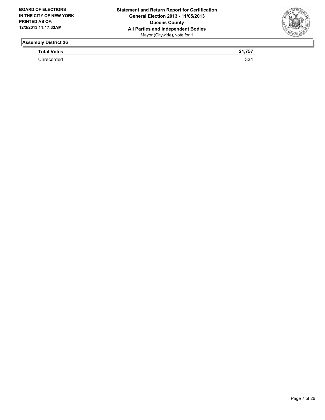

**Total Votes 21,757** 

Unrecorded 334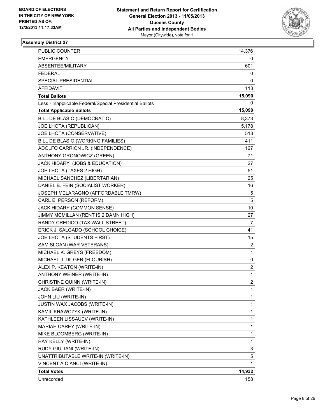

| <b>PUBLIC COUNTER</b>                                    | 14,376                  |
|----------------------------------------------------------|-------------------------|
| <b>EMERGENCY</b>                                         | 0                       |
| ABSENTEE/MILITARY                                        | 601                     |
| <b>FEDERAL</b>                                           | 0                       |
| SPECIAL PRESIDENTIAL                                     | 0                       |
| AFFIDAVIT                                                | 113                     |
| <b>Total Ballots</b>                                     | 15,090                  |
| Less - Inapplicable Federal/Special Presidential Ballots | 0                       |
| <b>Total Applicable Ballots</b>                          | 15,090                  |
| BILL DE BLASIO (DEMOCRATIC)                              | 8,373                   |
| JOE LHOTA (REPUBLICAN)                                   | 5,178                   |
| JOE LHOTA (CONSERVATIVE)                                 | 518                     |
| BILL DE BLASIO (WORKING FAMILIES)                        | 411                     |
| ADOLFO CARRION JR. (INDEPENDENCE)                        | 127                     |
| ANTHONY GRONOWICZ (GREEN)                                | 71                      |
| JACK HIDARY (JOBS & EDUCATION)                           | 27                      |
| JOE LHOTA (TAXES 2 HIGH)                                 | 51                      |
| MICHAEL SANCHEZ (LIBERTARIAN)                            | 25                      |
| DANIEL B. FEIN (SOCIALIST WORKER)                        | 16                      |
| JOSEPH MELARAGNO (AFFORDABLE TMRW)                       | 5                       |
| CARL E. PERSON (REFORM)                                  | 5                       |
| JACK HIDARY (COMMON SENSE)                               | 10                      |
| JIMMY MCMILLAN (RENT IS 2 DAMN HIGH)                     | 27                      |
| RANDY CREDICO (TAX WALL STREET)                          | 7                       |
| ERICK J. SALGADO (SCHOOL CHOICE)                         | 41                      |
| JOE LHOTA (STUDENTS FIRST)                               | 15                      |
| SAM SLOAN (WAR VETERANS)                                 | 2                       |
| MICHAEL K. GREYS (FREEDOM)                               | 1                       |
| MICHAEL J. DILGER (FLOURISH)                             | 0                       |
| ALEX P. KEATON (WRITE-IN)                                | $\overline{\mathbf{c}}$ |
| ANTHONY WEINER (WRITE-IN)                                | 1                       |
| CHRISTINE QUINN (WRITE-IN)                               | $\overline{2}$          |
| JACK BAER (WRITE-IN)                                     | 1                       |
| JOHN LIU (WRITE-IN)                                      | 1                       |
| JUSTIN WAX JACOBS (WRITE-IN)                             | 1                       |
| KAMIL KRAWCZYK (WRITE-IN)                                | 1                       |
| KATHLEEN LISSAUEV (WRITE-IN)                             | 1                       |
| MARIAH CAREY (WRITE-IN)                                  | 1                       |
| MIKE BLOOMBERG (WRITE-IN)                                | 1                       |
| RAY KELLY (WRITE-IN)                                     | 1                       |
| RUDY GIULIANI (WRITE-IN)                                 | 3                       |
| UNATTRIBUTABLE WRITE-IN (WRITE-IN)                       | 5                       |
| VINCENT A CIANCI (WRITE-IN)                              | 1                       |
| <b>Total Votes</b>                                       | 14,932                  |
| Unrecorded                                               | 158                     |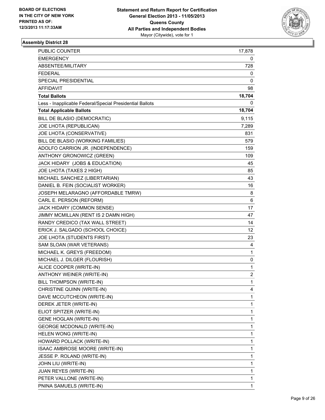

| PUBLIC COUNTER                                           | 17,878                  |
|----------------------------------------------------------|-------------------------|
| <b>EMERGENCY</b>                                         | 0                       |
| ABSENTEE/MILITARY                                        | 728                     |
| FEDERAL                                                  | 0                       |
| SPECIAL PRESIDENTIAL                                     | 0                       |
| AFFIDAVIT                                                | 98                      |
| <b>Total Ballots</b>                                     | 18,704                  |
| Less - Inapplicable Federal/Special Presidential Ballots | 0                       |
| <b>Total Applicable Ballots</b>                          | 18,704                  |
| BILL DE BLASIO (DEMOCRATIC)                              | 9,115                   |
| JOE LHOTA (REPUBLICAN)                                   | 7,289                   |
| JOE LHOTA (CONSERVATIVE)                                 | 831                     |
| BILL DE BLASIO (WORKING FAMILIES)                        | 579                     |
| ADOLFO CARRION JR. (INDEPENDENCE)                        | 159                     |
| ANTHONY GRONOWICZ (GREEN)                                | 109                     |
| JACK HIDARY (JOBS & EDUCATION)                           | 45                      |
| JOE LHOTA (TAXES 2 HIGH)                                 | 85                      |
| MICHAEL SANCHEZ (LIBERTARIAN)                            | 43                      |
| DANIEL B. FEIN (SOCIALIST WORKER)                        | 16                      |
| JOSEPH MELARAGNO (AFFORDABLE TMRW)                       | 8                       |
| CARL E. PERSON (REFORM)                                  | 6                       |
| JACK HIDARY (COMMON SENSE)                               | 17                      |
| JIMMY MCMILLAN (RENT IS 2 DAMN HIGH)                     | 47                      |
| RANDY CREDICO (TAX WALL STREET)                          | 14                      |
| ERICK J. SALGADO (SCHOOL CHOICE)                         | 12                      |
| JOE LHOTA (STUDENTS FIRST)                               | 23                      |
| SAM SLOAN (WAR VETERANS)                                 | 4                       |
| MICHAEL K. GREYS (FREEDOM)                               | 1                       |
| MICHAEL J. DILGER (FLOURISH)                             | 0                       |
| ALICE COOPER (WRITE-IN)                                  | 1                       |
| ANTHONY WEINER (WRITE-IN)                                | $\overline{\mathbf{c}}$ |
| BILL THOMPSON (WRITE-IN)                                 | $\mathbf{1}$            |
| CHRISTINE QUINN (WRITE-IN)                               | 4                       |
| DAVE MCCUTCHEON (WRITE-IN)                               | 1                       |
| DEREK JETER (WRITE-IN)                                   | 1                       |
| ELIOT SPITZER (WRITE-IN)                                 | 1                       |
| <b>GENE HOGLAN (WRITE-IN)</b>                            | 1                       |
| <b>GEORGE MCDONALD (WRITE-IN)</b>                        | 1                       |
| HELEN WONG (WRITE-IN)                                    | 1                       |
| HOWARD POLLACK (WRITE-IN)                                | 1                       |
| ISAAC AMBROSE MOORE (WRITE-IN)                           | 1                       |
| JESSE P. ROLAND (WRITE-IN)                               | 1                       |
| JOHN LIU (WRITE-IN)                                      | 1                       |
| <b>JUAN REYES (WRITE-IN)</b>                             | 1                       |
| PETER VALLONE (WRITE-IN)                                 | 1                       |
| PNINA SAMUELS (WRITE-IN)                                 | 1                       |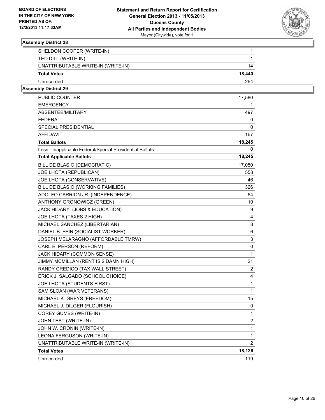

| SHELDON COOPER (WRITE-IN)          |        |
|------------------------------------|--------|
| TED DILL (WRITE-IN)                |        |
| UNATTRIBUTABLE WRITE-IN (WRITE-IN) | 14     |
| <b>Total Votes</b>                 | 18.440 |
| Unrecorded                         | 264    |

| PUBLIC COUNTER                                           | 17,580         |
|----------------------------------------------------------|----------------|
| <b>EMERGENCY</b>                                         | 1              |
| ABSENTEE/MILITARY                                        | 497            |
| <b>FEDERAL</b>                                           | 0              |
| SPECIAL PRESIDENTIAL                                     | 0              |
| AFFIDAVIT                                                | 167            |
| <b>Total Ballots</b>                                     | 18,245         |
| Less - Inapplicable Federal/Special Presidential Ballots | 0              |
| <b>Total Applicable Ballots</b>                          | 18,245         |
| BILL DE BLASIO (DEMOCRATIC)                              | 17,050         |
| JOE LHOTA (REPUBLICAN)                                   | 558            |
| JOE LHOTA (CONSERVATIVE)                                 | 46             |
| BILL DE BLASIO (WORKING FAMILIES)                        | 326            |
| ADOLFO CARRION JR. (INDEPENDENCE)                        | 54             |
| ANTHONY GRONOWICZ (GREEN)                                | 10             |
| JACK HIDARY (JOBS & EDUCATION)                           | 9              |
| JOE LHOTA (TAXES 2 HIGH)                                 | 4              |
| MICHAEL SANCHEZ (LIBERTARIAN)                            | 8              |
| DANIEL B. FEIN (SOCIALIST WORKER)                        | 6              |
| JOSEPH MELARAGNO (AFFORDABLE TMRW)                       | 3              |
| CARL E. PERSON (REFORM)                                  | 0              |
| JACK HIDARY (COMMON SENSE)                               | 1              |
| JIMMY MCMILLAN (RENT IS 2 DAMN HIGH)                     | 21             |
| RANDY CREDICO (TAX WALL STREET)                          | 2              |
| ERICK J. SALGADO (SCHOOL CHOICE)                         | 4              |
| JOE LHOTA (STUDENTS FIRST)                               | 1              |
| SAM SLOAN (WAR VETERANS)                                 | $\mathbf{1}$   |
| MICHAEL K. GREYS (FREEDOM)                               | 15             |
| MICHAEL J. DILGER (FLOURISH)                             | 0              |
| COREY GUMBS (WRITE-IN)                                   | 1              |
| JOHN TEST (WRITE-IN)                                     | 2              |
| JOHN W. CRONIN (WRITE-IN)                                | $\mathbf{1}$   |
| LEONA FERGUSON (WRITE-IN)                                | 1              |
| UNATTRIBUTABLE WRITE-IN (WRITE-IN)                       | $\overline{2}$ |
| <b>Total Votes</b>                                       | 18,126         |
| Unrecorded                                               | 119            |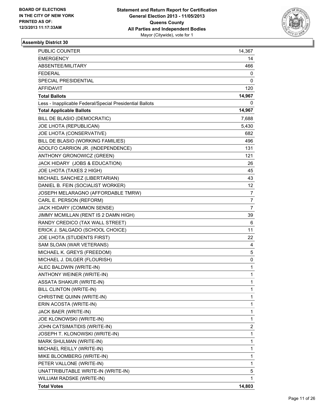

| PUBLIC COUNTER                                           | 14,367         |
|----------------------------------------------------------|----------------|
| <b>EMERGENCY</b>                                         | 14             |
| ABSENTEE/MILITARY                                        | 466            |
| <b>FEDERAL</b>                                           | 0              |
| SPECIAL PRESIDENTIAL                                     | 0              |
| AFFIDAVIT                                                | 120            |
| <b>Total Ballots</b>                                     | 14,967         |
| Less - Inapplicable Federal/Special Presidential Ballots | 0              |
| <b>Total Applicable Ballots</b>                          | 14,967         |
| BILL DE BLASIO (DEMOCRATIC)                              | 7,688          |
| JOE LHOTA (REPUBLICAN)                                   | 5,430          |
| JOE LHOTA (CONSERVATIVE)                                 | 682            |
| BILL DE BLASIO (WORKING FAMILIES)                        | 496            |
| ADOLFO CARRION JR. (INDEPENDENCE)                        | 131            |
| ANTHONY GRONOWICZ (GREEN)                                | 121            |
| JACK HIDARY (JOBS & EDUCATION)                           | 26             |
| JOE LHOTA (TAXES 2 HIGH)                                 | 45             |
| MICHAEL SANCHEZ (LIBERTARIAN)                            | 43             |
| DANIEL B. FEIN (SOCIALIST WORKER)                        | 12             |
| JOSEPH MELARAGNO (AFFORDABLE TMRW)                       | 7              |
| CARL E. PERSON (REFORM)                                  | $\overline{7}$ |
| JACK HIDARY (COMMON SENSE)                               | 7              |
| JIMMY MCMILLAN (RENT IS 2 DAMN HIGH)                     | 39             |
| RANDY CREDICO (TAX WALL STREET)                          | 6              |
| ERICK J. SALGADO (SCHOOL CHOICE)                         | 11             |
| JOE LHOTA (STUDENTS FIRST)                               | 22             |
| SAM SLOAN (WAR VETERANS)                                 | 4              |
| MICHAEL K. GREYS (FREEDOM)                               | 5              |
| MICHAEL J. DILGER (FLOURISH)                             | 0              |
| ALEC BALDWIN (WRITE-IN)                                  | 1              |
| ANTHONY WEINER (WRITE-IN)                                | 1              |
| <b>ASSATA SHAKUR (WRITE-IN)</b>                          | 1              |
| BILL CLINTON (WRITE-IN)                                  | 1              |
| CHRISTINE QUINN (WRITE-IN)                               | 1              |
| ERIN ACOSTA (WRITE-IN)                                   | 1              |
| JACK BAER (WRITE-IN)                                     | 1              |
| JOE KLONOWSKI (WRITE-IN)                                 | 1              |
| JOHN CATSIMATIDIS (WRITE-IN)                             | 2              |
| JOSEPH T. KLONOWSKI (WRITE-IN)                           | 1              |
| MARK SHULMAN (WRITE-IN)                                  | 1              |
| MICHAEL REILLY (WRITE-IN)                                | 1              |
| MIKE BLOOMBERG (WRITE-IN)                                | 1              |
| PETER VALLONE (WRITE-IN)                                 | 1              |
| UNATTRIBUTABLE WRITE-IN (WRITE-IN)                       | 5              |
| WILLIAM RADSKE (WRITE-IN)                                | 1              |
| <b>Total Votes</b>                                       | 14,803         |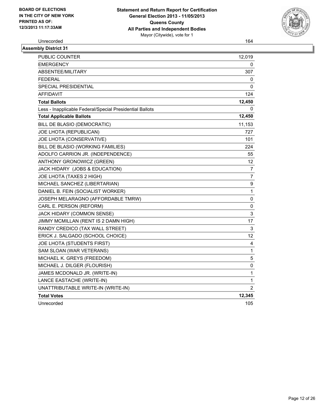

Unrecorded 164

| <b>Assembly District 31</b>                              |                |
|----------------------------------------------------------|----------------|
| PUBLIC COUNTER                                           | 12,019         |
| <b>EMERGENCY</b>                                         | 0              |
| ABSENTEE/MILITARY                                        | 307            |
| <b>FEDERAL</b>                                           | 0              |
| SPECIAL PRESIDENTIAL                                     | $\Omega$       |
| AFFIDAVIT                                                | 124            |
| <b>Total Ballots</b>                                     | 12,450         |
| Less - Inapplicable Federal/Special Presidential Ballots | 0              |
| <b>Total Applicable Ballots</b>                          | 12,450         |
| BILL DE BLASIO (DEMOCRATIC)                              | 11,153         |
| JOE LHOTA (REPUBLICAN)                                   | 727            |
| JOE LHOTA (CONSERVATIVE)                                 | 101            |
| BILL DE BLASIO (WORKING FAMILIES)                        | 224            |
| ADOLFO CARRION JR. (INDEPENDENCE)                        | 55             |
| ANTHONY GRONOWICZ (GREEN)                                | 12             |
| JACK HIDARY (JOBS & EDUCATION)                           | 7              |
| JOE LHOTA (TAXES 2 HIGH)                                 | 7              |
| MICHAEL SANCHEZ (LIBERTARIAN)                            | 9              |
| DANIEL B. FEIN (SOCIALIST WORKER)                        | 1              |
| JOSEPH MELARAGNO (AFFORDABLE TMRW)                       | 0              |
| CARL E. PERSON (REFORM)                                  | 0              |
| JACK HIDARY (COMMON SENSE)                               | 3              |
| JIMMY MCMILLAN (RENT IS 2 DAMN HIGH)                     | 17             |
| RANDY CREDICO (TAX WALL STREET)                          | 3              |
| ERICK J. SALGADO (SCHOOL CHOICE)                         | 12             |
| JOE LHOTA (STUDENTS FIRST)                               | 4              |
| SAM SLOAN (WAR VETERANS)                                 | $\mathbf 1$    |
| MICHAEL K. GREYS (FREEDOM)                               | 5              |
| MICHAEL J. DILGER (FLOURISH)                             | 0              |
| JAMES MCDONALD JR. (WRITE-IN)                            | $\mathbf{1}$   |
| LANCE EASTACHE (WRITE-IN)                                | $\mathbf{1}$   |
| UNATTRIBUTABLE WRITE-IN (WRITE-IN)                       | $\overline{2}$ |
| <b>Total Votes</b>                                       | 12,345         |
| Unrecorded                                               | 105            |
|                                                          |                |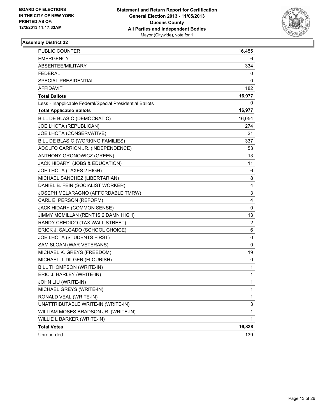

| <b>PUBLIC COUNTER</b>                                    | 16,455 |
|----------------------------------------------------------|--------|
| EMERGENCY                                                | 6      |
| ABSENTEE/MILITARY                                        | 334    |
| <b>FEDERAL</b>                                           | 0      |
| SPECIAL PRESIDENTIAL                                     | 0      |
| <b>AFFIDAVIT</b>                                         | 182    |
| <b>Total Ballots</b>                                     | 16,977 |
| Less - Inapplicable Federal/Special Presidential Ballots | 0      |
| <b>Total Applicable Ballots</b>                          | 16,977 |
| BILL DE BLASIO (DEMOCRATIC)                              | 16,054 |
| JOE LHOTA (REPUBLICAN)                                   | 274    |
| JOE LHOTA (CONSERVATIVE)                                 | 21     |
| BILL DE BLASIO (WORKING FAMILIES)                        | 337    |
| ADOLFO CARRION JR. (INDEPENDENCE)                        | 53     |
| ANTHONY GRONOWICZ (GREEN)                                | 13     |
| JACK HIDARY (JOBS & EDUCATION)                           | 11     |
| JOE LHOTA (TAXES 2 HIGH)                                 | 6      |
| MICHAEL SANCHEZ (LIBERTARIAN)                            | 8      |
| DANIEL B. FEIN (SOCIALIST WORKER)                        | 4      |
| JOSEPH MELARAGNO (AFFORDABLE TMRW)                       | 3      |
| CARL E. PERSON (REFORM)                                  | 4      |
| JACK HIDARY (COMMON SENSE)                               | 0      |
| JIMMY MCMILLAN (RENT IS 2 DAMN HIGH)                     | 13     |
| RANDY CREDICO (TAX WALL STREET)                          | 2      |
| ERICK J. SALGADO (SCHOOL CHOICE)                         | 6      |
| JOE LHOTA (STUDENTS FIRST)                               | 0      |
| SAM SLOAN (WAR VETERANS)                                 | 0      |
| MICHAEL K. GREYS (FREEDOM)                               | 19     |
| MICHAEL J. DILGER (FLOURISH)                             | 0      |
| BILL THOMPSON (WRITE-IN)                                 | 1      |
| ERIC J. HARLEY (WRITE-IN)                                | 1      |
| JOHN LIU (WRITE-IN)                                      | 1      |
| MICHAEL GREYS (WRITE-IN)                                 | 1      |
| RONALD VEAL (WRITE-IN)                                   | 1      |
| UNATTRIBUTABLE WRITE-IN (WRITE-IN)                       | 3      |
| WILLIAM MOSES BRADSON JR. (WRITE-IN)                     | 1      |
| WILLIE L BARKER (WRITE-IN)                               | 1      |
| <b>Total Votes</b>                                       | 16,838 |
| Unrecorded                                               | 139    |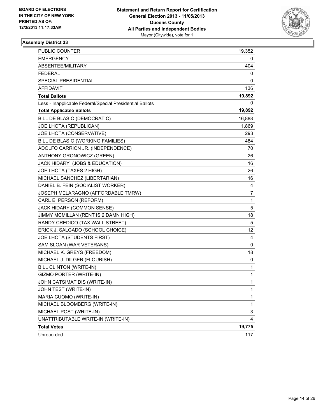

| <b>PUBLIC COUNTER</b>                                    | 19,352           |
|----------------------------------------------------------|------------------|
| <b>EMERGENCY</b>                                         | 0                |
| ABSENTEE/MILITARY                                        | 404              |
| <b>FEDERAL</b>                                           | 0                |
| SPECIAL PRESIDENTIAL                                     | 0                |
| <b>AFFIDAVIT</b>                                         | 136              |
| <b>Total Ballots</b>                                     | 19,892           |
| Less - Inapplicable Federal/Special Presidential Ballots | 0                |
| <b>Total Applicable Ballots</b>                          | 19,892           |
| BILL DE BLASIO (DEMOCRATIC)                              | 16,888           |
| JOE LHOTA (REPUBLICAN)                                   | 1,869            |
| JOE LHOTA (CONSERVATIVE)                                 | 293              |
| BILL DE BLASIO (WORKING FAMILIES)                        | 484              |
| ADOLFO CARRION JR. (INDEPENDENCE)                        | 70               |
| ANTHONY GRONOWICZ (GREEN)                                | 26               |
| JACK HIDARY (JOBS & EDUCATION)                           | 16               |
| JOE LHOTA (TAXES 2 HIGH)                                 | 26               |
| MICHAEL SANCHEZ (LIBERTARIAN)                            | 16               |
| DANIEL B. FEIN (SOCIALIST WORKER)                        | 4                |
| JOSEPH MELARAGNO (AFFORDABLE TMRW)                       | $\boldsymbol{7}$ |
| CARL E. PERSON (REFORM)                                  | 1                |
| JACK HIDARY (COMMON SENSE)                               | 5                |
| JIMMY MCMILLAN (RENT IS 2 DAMN HIGH)                     | 18               |
| RANDY CREDICO (TAX WALL STREET)                          | 5                |
| ERICK J. SALGADO (SCHOOL CHOICE)                         | 12               |
| JOE LHOTA (STUDENTS FIRST)                               | 4                |
| SAM SLOAN (WAR VETERANS)                                 | 0                |
| MICHAEL K. GREYS (FREEDOM)                               | 18               |
| MICHAEL J. DILGER (FLOURISH)                             | 0                |
| BILL CLINTON (WRITE-IN)                                  | 1                |
| GIZMO PORTER (WRITE-IN)                                  | 1                |
| JOHN CATSIMATIDIS (WRITE-IN)                             | $\mathbf{1}$     |
| JOHN TEST (WRITE-IN)                                     | 1                |
| MARIA CUOMO (WRITE-IN)                                   | 1                |
| MICHAEL BLOOMBERG (WRITE-IN)                             | $\mathbf 1$      |
| MICHAEL POST (WRITE-IN)                                  | 3                |
| UNATTRIBUTABLE WRITE-IN (WRITE-IN)                       | 4                |
| <b>Total Votes</b>                                       | 19,775           |
| Unrecorded                                               | 117              |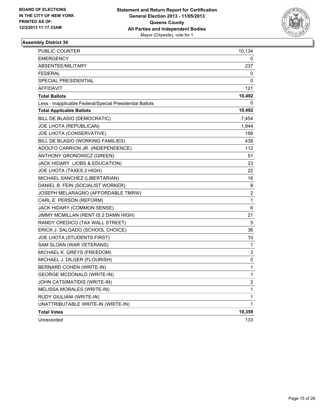

| PUBLIC COUNTER                                           | 10,134                  |
|----------------------------------------------------------|-------------------------|
| <b>EMERGENCY</b>                                         | 0                       |
| ABSENTEE/MILITARY                                        | 237                     |
| <b>FEDERAL</b>                                           | 0                       |
| <b>SPECIAL PRESIDENTIAL</b>                              | 0                       |
| <b>AFFIDAVIT</b>                                         | 121                     |
| <b>Total Ballots</b>                                     | 10,492                  |
| Less - Inapplicable Federal/Special Presidential Ballots | 0                       |
| <b>Total Applicable Ballots</b>                          | 10,492                  |
| BILL DE BLASIO (DEMOCRATIC)                              | 7,454                   |
| JOE LHOTA (REPUBLICAN)                                   | 1,944                   |
| JOE LHOTA (CONSERVATIVE)                                 | 199                     |
| BILL DE BLASIO (WORKING FAMILIES)                        | 438                     |
| ADOLFO CARRION JR. (INDEPENDENCE)                        | 112                     |
| ANTHONY GRONOWICZ (GREEN)                                | 51                      |
| JACK HIDARY (JOBS & EDUCATION)                           | 23                      |
| JOE LHOTA (TAXES 2 HIGH)                                 | 22                      |
| MICHAEL SANCHEZ (LIBERTARIAN)                            | 16                      |
| DANIEL B. FEIN (SOCIALIST WORKER)                        | 8                       |
| JOSEPH MELARAGNO (AFFORDABLE TMRW)                       | 2                       |
| CARL E. PERSON (REFORM)                                  | 1                       |
| JACK HIDARY (COMMON SENSE)                               | 6                       |
| JIMMY MCMILLAN (RENT IS 2 DAMN HIGH)                     | 21                      |
| RANDY CREDICO (TAX WALL STREET)                          | 5                       |
| ERICK J. SALGADO (SCHOOL CHOICE)                         | 36                      |
| JOE LHOTA (STUDENTS FIRST)                               | 10                      |
| SAM SLOAN (WAR VETERANS)                                 | 1                       |
| MICHAEL K. GREYS (FREEDOM)                               | 3                       |
| MICHAEL J. DILGER (FLOURISH)                             | 0                       |
| BERNARD COHEN (WRITE-IN)                                 | 1                       |
| <b>GEORGE MCDONALD (WRITE-IN)</b>                        | 1                       |
| JOHN CATSIMATIDIS (WRITE-IN)                             | $\overline{\mathbf{c}}$ |
| MELISSA MORALES (WRITE-IN)                               | 1                       |
| RUDY GIULIANI (WRITE-IN)                                 | 1                       |
| UNATTRIBUTABLE WRITE-IN (WRITE-IN)                       | 1                       |
| <b>Total Votes</b>                                       | 10,359                  |
| Unrecorded                                               | 133                     |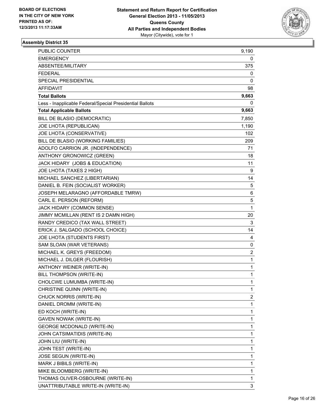

| PUBLIC COUNTER                                           | 9,190        |
|----------------------------------------------------------|--------------|
| <b>EMERGENCY</b>                                         | 0            |
| ABSENTEE/MILITARY                                        | 375          |
| <b>FEDERAL</b>                                           | 0            |
| <b>SPECIAL PRESIDENTIAL</b>                              | 0            |
| AFFIDAVIT                                                | 98           |
| <b>Total Ballots</b>                                     | 9,663        |
| Less - Inapplicable Federal/Special Presidential Ballots | 0            |
| <b>Total Applicable Ballots</b>                          | 9,663        |
| BILL DE BLASIO (DEMOCRATIC)                              | 7,850        |
| JOE LHOTA (REPUBLICAN)                                   | 1,190        |
| JOE LHOTA (CONSERVATIVE)                                 | 102          |
| BILL DE BLASIO (WORKING FAMILIES)                        | 209          |
| ADOLFO CARRION JR. (INDEPENDENCE)                        | 71           |
| ANTHONY GRONOWICZ (GREEN)                                | 18           |
| JACK HIDARY (JOBS & EDUCATION)                           | 11           |
| JOE LHOTA (TAXES 2 HIGH)                                 | 9            |
| MICHAEL SANCHEZ (LIBERTARIAN)                            | 14           |
| DANIEL B. FEIN (SOCIALIST WORKER)                        | 5            |
| JOSEPH MELARAGNO (AFFORDABLE TMRW)                       | 6            |
| CARL E. PERSON (REFORM)                                  | 5            |
| JACK HIDARY (COMMON SENSE)                               | $\mathbf{1}$ |
| JIMMY MCMILLAN (RENT IS 2 DAMN HIGH)                     | 20           |
| RANDY CREDICO (TAX WALL STREET)                          | 3            |
| ERICK J. SALGADO (SCHOOL CHOICE)                         | 14           |
| JOE LHOTA (STUDENTS FIRST)                               | 4            |
| SAM SLOAN (WAR VETERANS)                                 | 0            |
| MICHAEL K. GREYS (FREEDOM)                               | 2            |
| MICHAEL J. DILGER (FLOURISH)                             | 1            |
| ANTHONY WEINER (WRITE-IN)                                | 1            |
| BILL THOMPSON (WRITE-IN)                                 | 1            |
| CHOLCWE LUMUMBA (WRITE-IN)                               | 1            |
| CHRISTINE QUINN (WRITE-IN)                               | 1            |
| CHUCK NORRIS (WRITE-IN)                                  | 2            |
| DANIEL DROMM (WRITE-IN)                                  | 1            |
| ED KOCH (WRITE-IN)                                       | 1            |
| GAVEN NOWAK (WRITE-IN)                                   | 1            |
| <b>GEORGE MCDONALD (WRITE-IN)</b>                        | 1            |
| JOHN CATSIMATIDIS (WRITE-IN)                             | 1            |
| JOHN LIU (WRITE-IN)                                      | 1            |
| JOHN TEST (WRITE-IN)                                     | 1            |
| JOSE SEGUN (WRITE-IN)                                    | 1            |
| MARK J BIBILS (WRITE-IN)                                 | 1            |
| MIKE BLOOMBERG (WRITE-IN)                                | 1            |
| THOMAS OLIVER-OSBOURNE (WRITE-IN)                        | 1            |
| UNATTRIBUTABLE WRITE-IN (WRITE-IN)                       | 3            |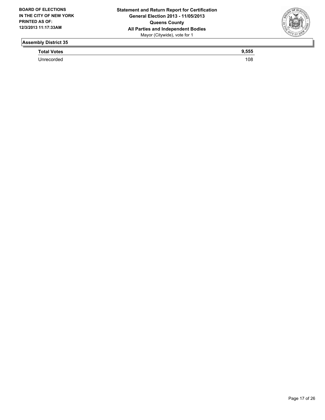

**Total Votes 9,555** 

Unrecorded 108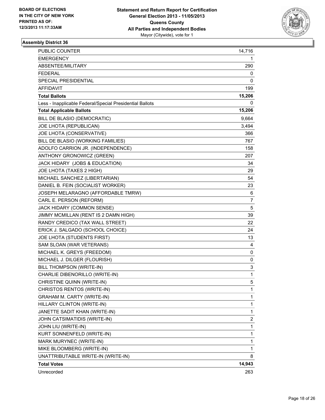

| <b>PUBLIC COUNTER</b>                                    | 14,716         |
|----------------------------------------------------------|----------------|
| <b>EMERGENCY</b>                                         | 1              |
| ABSENTEE/MILITARY                                        | 290            |
| <b>FEDERAL</b>                                           | 0              |
| SPECIAL PRESIDENTIAL                                     | 0              |
| <b>AFFIDAVIT</b>                                         | 199            |
| <b>Total Ballots</b>                                     | 15,206         |
| Less - Inapplicable Federal/Special Presidential Ballots | 0              |
| <b>Total Applicable Ballots</b>                          | 15,206         |
| BILL DE BLASIO (DEMOCRATIC)                              | 9,664          |
| JOE LHOTA (REPUBLICAN)                                   | 3,494          |
| JOE LHOTA (CONSERVATIVE)                                 | 366            |
| BILL DE BLASIO (WORKING FAMILIES)                        | 767            |
| ADOLFO CARRION JR. (INDEPENDENCE)                        | 158            |
| ANTHONY GRONOWICZ (GREEN)                                | 207            |
| JACK HIDARY (JOBS & EDUCATION)                           | 34             |
| JOE LHOTA (TAXES 2 HIGH)                                 | 29             |
| MICHAEL SANCHEZ (LIBERTARIAN)                            | 54             |
| DANIEL B. FEIN (SOCIALIST WORKER)                        | 23             |
| JOSEPH MELARAGNO (AFFORDABLE TMRW)                       | 6              |
| CARL E. PERSON (REFORM)                                  | $\overline{7}$ |
| JACK HIDARY (COMMON SENSE)                               | 5              |
| JIMMY MCMILLAN (RENT IS 2 DAMN HIGH)                     | 39             |
| RANDY CREDICO (TAX WALL STREET)                          | 22             |
| ERICK J. SALGADO (SCHOOL CHOICE)                         | 24             |
| JOE LHOTA (STUDENTS FIRST)                               | 13             |
| SAM SLOAN (WAR VETERANS)                                 | 4              |
| MICHAEL K. GREYS (FREEDOM)                               | 0              |
| MICHAEL J. DILGER (FLOURISH)                             | 0              |
| BILL THOMPSON (WRITE-IN)                                 | 3              |
| CHARLIE DIBENORILLO (WRITE-IN)                           | 1              |
| CHRISTINE QUINN (WRITE-IN)                               | 5              |
| CHRISTOS RENTOS (WRITE-IN)                               | $\mathbf 1$    |
| <b>GRAHAM M. CARTY (WRITE-IN)</b>                        | 1              |
| HILLARY CLINTON (WRITE-IN)                               | $\mathbf{1}$   |
| JANETTE SADIT KHAN (WRITE-IN)                            | $\mathbf{1}$   |
| JOHN CATSIMATIDIS (WRITE-IN)                             | $\overline{c}$ |
| JOHN LIU (WRITE-IN)                                      | 1              |
| KURT SONNENFELD (WRITE-IN)                               | 1              |
| MARK MURYNEC (WRITE-IN)                                  | 1              |
| MIKE BLOOMBERG (WRITE-IN)                                | $\mathbf{1}$   |
| UNATTRIBUTABLE WRITE-IN (WRITE-IN)                       | 8              |
| <b>Total Votes</b>                                       | 14,943         |
| Unrecorded                                               | 263            |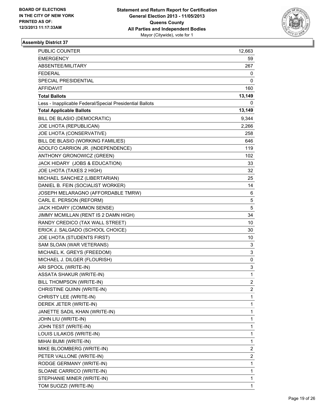

| PUBLIC COUNTER                                           | 12,663         |
|----------------------------------------------------------|----------------|
| EMERGENCY                                                | 59.            |
| ABSENTEE/MILITARY                                        | 267            |
| FEDERAL                                                  | 0              |
| SPECIAL PRESIDENTIAL                                     | 0              |
| AFFIDAVIT                                                | 160            |
| <b>Total Ballots</b>                                     | 13,149         |
| Less - Inapplicable Federal/Special Presidential Ballots | 0              |
| <b>Total Applicable Ballots</b>                          | 13,149         |
| BILL DE BLASIO (DEMOCRATIC)                              | 9,344          |
| JOE LHOTA (REPUBLICAN)                                   | 2,266          |
| JOE LHOTA (CONSERVATIVE)                                 | 258            |
| BILL DE BLASIO (WORKING FAMILIES)                        | 646            |
| ADOLFO CARRION JR. (INDEPENDENCE)                        | 119            |
| ANTHONY GRONOWICZ (GREEN)                                | 102            |
| JACK HIDARY (JOBS & EDUCATION)                           | 33             |
| JOE LHOTA (TAXES 2 HIGH)                                 | 32             |
| MICHAEL SANCHEZ (LIBERTARIAN)                            | 25             |
| DANIEL B. FEIN (SOCIALIST WORKER)                        | 14             |
| JOSEPH MELARAGNO (AFFORDABLE TMRW)                       | 6              |
| CARL E. PERSON (REFORM)                                  | 5              |
| JACK HIDARY (COMMON SENSE)                               | 5              |
| JIMMY MCMILLAN (RENT IS 2 DAMN HIGH)                     | 34             |
| RANDY CREDICO (TAX WALL STREET)                          | 10             |
| ERICK J. SALGADO (SCHOOL CHOICE)                         | 30             |
| JOE LHOTA (STUDENTS FIRST)                               | 10             |
| SAM SLOAN (WAR VETERANS)                                 | 3              |
| MICHAEL K. GREYS (FREEDOM)                               | 3              |
| MICHAEL J. DILGER (FLOURISH)                             | 0              |
| ARI SPOOL (WRITE-IN)                                     | 3              |
| <b>ASSATA SHAKUR (WRITE-IN)</b>                          | 1              |
| BILL THOMPSON (WRITE-IN)                                 | $\overline{2}$ |
| CHRISTINE QUINN (WRITE-IN)                               | 2              |
| CHRISTY LEE (WRITE-IN)                                   | 1              |
| DEREK JETER (WRITE-IN)                                   | 1              |
| JANETTE SADIL KHAN (WRITE-IN)                            | 1              |
| JOHN LIU (WRITE-IN)                                      | 1              |
| JOHN TEST (WRITE-IN)                                     | 1              |
| LOUIS LILAKOS (WRITE-IN)                                 | 1              |
| MIHAI BUMI (WRITE-IN)                                    | 1              |
| MIKE BLOOMBERG (WRITE-IN)                                | 2              |
| PETER VALLONE (WRITE-IN)                                 | 2              |
| RODGE GERMANY (WRITE-IN)                                 | 1              |
| SLOANE CARRICO (WRITE-IN)                                | 1              |
| STEPHANIE MINER (WRITE-IN)                               | 1              |
| TOM SUOZZI (WRITE-IN)                                    | 1              |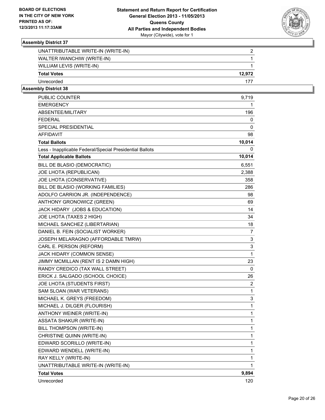

| UNATTRIBUTABLE WRITE-IN (WRITE-IN) |        |
|------------------------------------|--------|
| WALTER IWANCHIW (WRITE-IN)         |        |
| WILLIAM LEVIS (WRITE-IN)           |        |
| <b>Total Votes</b>                 | 12.972 |
| Unrecorded                         | 177    |
|                                    |        |

| <b>EMERGENCY</b><br>1<br>ABSENTEE/MILITARY<br>196<br><b>FEDERAL</b><br>0<br>SPECIAL PRESIDENTIAL<br>0<br><b>AFFIDAVIT</b><br>98<br>10,014<br><b>Total Ballots</b><br>Less - Inapplicable Federal/Special Presidential Ballots<br>0<br>10,014<br><b>Total Applicable Ballots</b><br>BILL DE BLASIO (DEMOCRATIC)<br>6,551<br>JOE LHOTA (REPUBLICAN)<br>2,388<br>JOE LHOTA (CONSERVATIVE)<br>358<br>BILL DE BLASIO (WORKING FAMILIES)<br>286<br>ADOLFO CARRION JR. (INDEPENDENCE)<br>98<br>ANTHONY GRONOWICZ (GREEN)<br>69<br>JACK HIDARY (JOBS & EDUCATION)<br>14<br>JOE LHOTA (TAXES 2 HIGH)<br>34<br>MICHAEL SANCHEZ (LIBERTARIAN)<br>18<br>DANIEL B. FEIN (SOCIALIST WORKER)<br>7<br>JOSEPH MELARAGNO (AFFORDABLE TMRW)<br>3<br>CARL E. PERSON (REFORM)<br>3<br>JACK HIDARY (COMMON SENSE)<br>1<br>JIMMY MCMILLAN (RENT IS 2 DAMN HIGH)<br>23<br>RANDY CREDICO (TAX WALL STREET)<br>0<br>ERICK J. SALGADO (SCHOOL CHOICE)<br>26<br>JOE LHOTA (STUDENTS FIRST)<br>2<br>SAM SLOAN (WAR VETERANS)<br>1<br>MICHAEL K. GREYS (FREEDOM)<br>3<br>MICHAEL J. DILGER (FLOURISH)<br>1<br>ANTHONY WEINER (WRITE-IN)<br>1<br>ASSATA SHAKUR (WRITE-IN)<br>1<br>BILL THOMPSON (WRITE-IN)<br>$\mathbf{1}$<br>CHRISTINE QUINN (WRITE-IN)<br>1 | EDWARD SCORILLO (WRITE-IN)<br>1<br>EDWARD WENDELL (WRITE-IN)<br>1<br>RAY KELLY (WRITE-IN)<br>1<br>UNATTRIBUTABLE WRITE-IN (WRITE-IN)<br>1<br>9,894<br><b>Total Votes</b> | PUBLIC COUNTER | 9,719 |
|--------------------------------------------------------------------------------------------------------------------------------------------------------------------------------------------------------------------------------------------------------------------------------------------------------------------------------------------------------------------------------------------------------------------------------------------------------------------------------------------------------------------------------------------------------------------------------------------------------------------------------------------------------------------------------------------------------------------------------------------------------------------------------------------------------------------------------------------------------------------------------------------------------------------------------------------------------------------------------------------------------------------------------------------------------------------------------------------------------------------------------------------------------------------------------------------------------------------------------|--------------------------------------------------------------------------------------------------------------------------------------------------------------------------|----------------|-------|
|                                                                                                                                                                                                                                                                                                                                                                                                                                                                                                                                                                                                                                                                                                                                                                                                                                                                                                                                                                                                                                                                                                                                                                                                                                |                                                                                                                                                                          |                |       |
|                                                                                                                                                                                                                                                                                                                                                                                                                                                                                                                                                                                                                                                                                                                                                                                                                                                                                                                                                                                                                                                                                                                                                                                                                                |                                                                                                                                                                          |                |       |
|                                                                                                                                                                                                                                                                                                                                                                                                                                                                                                                                                                                                                                                                                                                                                                                                                                                                                                                                                                                                                                                                                                                                                                                                                                |                                                                                                                                                                          |                |       |
|                                                                                                                                                                                                                                                                                                                                                                                                                                                                                                                                                                                                                                                                                                                                                                                                                                                                                                                                                                                                                                                                                                                                                                                                                                |                                                                                                                                                                          |                |       |
|                                                                                                                                                                                                                                                                                                                                                                                                                                                                                                                                                                                                                                                                                                                                                                                                                                                                                                                                                                                                                                                                                                                                                                                                                                |                                                                                                                                                                          |                |       |
|                                                                                                                                                                                                                                                                                                                                                                                                                                                                                                                                                                                                                                                                                                                                                                                                                                                                                                                                                                                                                                                                                                                                                                                                                                |                                                                                                                                                                          |                |       |
|                                                                                                                                                                                                                                                                                                                                                                                                                                                                                                                                                                                                                                                                                                                                                                                                                                                                                                                                                                                                                                                                                                                                                                                                                                |                                                                                                                                                                          |                |       |
|                                                                                                                                                                                                                                                                                                                                                                                                                                                                                                                                                                                                                                                                                                                                                                                                                                                                                                                                                                                                                                                                                                                                                                                                                                |                                                                                                                                                                          |                |       |
|                                                                                                                                                                                                                                                                                                                                                                                                                                                                                                                                                                                                                                                                                                                                                                                                                                                                                                                                                                                                                                                                                                                                                                                                                                |                                                                                                                                                                          |                |       |
|                                                                                                                                                                                                                                                                                                                                                                                                                                                                                                                                                                                                                                                                                                                                                                                                                                                                                                                                                                                                                                                                                                                                                                                                                                |                                                                                                                                                                          |                |       |
|                                                                                                                                                                                                                                                                                                                                                                                                                                                                                                                                                                                                                                                                                                                                                                                                                                                                                                                                                                                                                                                                                                                                                                                                                                |                                                                                                                                                                          |                |       |
|                                                                                                                                                                                                                                                                                                                                                                                                                                                                                                                                                                                                                                                                                                                                                                                                                                                                                                                                                                                                                                                                                                                                                                                                                                |                                                                                                                                                                          |                |       |
|                                                                                                                                                                                                                                                                                                                                                                                                                                                                                                                                                                                                                                                                                                                                                                                                                                                                                                                                                                                                                                                                                                                                                                                                                                |                                                                                                                                                                          |                |       |
|                                                                                                                                                                                                                                                                                                                                                                                                                                                                                                                                                                                                                                                                                                                                                                                                                                                                                                                                                                                                                                                                                                                                                                                                                                |                                                                                                                                                                          |                |       |
|                                                                                                                                                                                                                                                                                                                                                                                                                                                                                                                                                                                                                                                                                                                                                                                                                                                                                                                                                                                                                                                                                                                                                                                                                                |                                                                                                                                                                          |                |       |
|                                                                                                                                                                                                                                                                                                                                                                                                                                                                                                                                                                                                                                                                                                                                                                                                                                                                                                                                                                                                                                                                                                                                                                                                                                |                                                                                                                                                                          |                |       |
|                                                                                                                                                                                                                                                                                                                                                                                                                                                                                                                                                                                                                                                                                                                                                                                                                                                                                                                                                                                                                                                                                                                                                                                                                                |                                                                                                                                                                          |                |       |
|                                                                                                                                                                                                                                                                                                                                                                                                                                                                                                                                                                                                                                                                                                                                                                                                                                                                                                                                                                                                                                                                                                                                                                                                                                |                                                                                                                                                                          |                |       |
|                                                                                                                                                                                                                                                                                                                                                                                                                                                                                                                                                                                                                                                                                                                                                                                                                                                                                                                                                                                                                                                                                                                                                                                                                                |                                                                                                                                                                          |                |       |
|                                                                                                                                                                                                                                                                                                                                                                                                                                                                                                                                                                                                                                                                                                                                                                                                                                                                                                                                                                                                                                                                                                                                                                                                                                |                                                                                                                                                                          |                |       |
|                                                                                                                                                                                                                                                                                                                                                                                                                                                                                                                                                                                                                                                                                                                                                                                                                                                                                                                                                                                                                                                                                                                                                                                                                                |                                                                                                                                                                          |                |       |
|                                                                                                                                                                                                                                                                                                                                                                                                                                                                                                                                                                                                                                                                                                                                                                                                                                                                                                                                                                                                                                                                                                                                                                                                                                |                                                                                                                                                                          |                |       |
|                                                                                                                                                                                                                                                                                                                                                                                                                                                                                                                                                                                                                                                                                                                                                                                                                                                                                                                                                                                                                                                                                                                                                                                                                                |                                                                                                                                                                          |                |       |
|                                                                                                                                                                                                                                                                                                                                                                                                                                                                                                                                                                                                                                                                                                                                                                                                                                                                                                                                                                                                                                                                                                                                                                                                                                |                                                                                                                                                                          |                |       |
|                                                                                                                                                                                                                                                                                                                                                                                                                                                                                                                                                                                                                                                                                                                                                                                                                                                                                                                                                                                                                                                                                                                                                                                                                                |                                                                                                                                                                          |                |       |
|                                                                                                                                                                                                                                                                                                                                                                                                                                                                                                                                                                                                                                                                                                                                                                                                                                                                                                                                                                                                                                                                                                                                                                                                                                |                                                                                                                                                                          |                |       |
|                                                                                                                                                                                                                                                                                                                                                                                                                                                                                                                                                                                                                                                                                                                                                                                                                                                                                                                                                                                                                                                                                                                                                                                                                                |                                                                                                                                                                          |                |       |
|                                                                                                                                                                                                                                                                                                                                                                                                                                                                                                                                                                                                                                                                                                                                                                                                                                                                                                                                                                                                                                                                                                                                                                                                                                |                                                                                                                                                                          |                |       |
|                                                                                                                                                                                                                                                                                                                                                                                                                                                                                                                                                                                                                                                                                                                                                                                                                                                                                                                                                                                                                                                                                                                                                                                                                                |                                                                                                                                                                          |                |       |
|                                                                                                                                                                                                                                                                                                                                                                                                                                                                                                                                                                                                                                                                                                                                                                                                                                                                                                                                                                                                                                                                                                                                                                                                                                |                                                                                                                                                                          |                |       |
|                                                                                                                                                                                                                                                                                                                                                                                                                                                                                                                                                                                                                                                                                                                                                                                                                                                                                                                                                                                                                                                                                                                                                                                                                                |                                                                                                                                                                          |                |       |
|                                                                                                                                                                                                                                                                                                                                                                                                                                                                                                                                                                                                                                                                                                                                                                                                                                                                                                                                                                                                                                                                                                                                                                                                                                |                                                                                                                                                                          |                |       |
|                                                                                                                                                                                                                                                                                                                                                                                                                                                                                                                                                                                                                                                                                                                                                                                                                                                                                                                                                                                                                                                                                                                                                                                                                                |                                                                                                                                                                          |                |       |
|                                                                                                                                                                                                                                                                                                                                                                                                                                                                                                                                                                                                                                                                                                                                                                                                                                                                                                                                                                                                                                                                                                                                                                                                                                |                                                                                                                                                                          |                |       |
|                                                                                                                                                                                                                                                                                                                                                                                                                                                                                                                                                                                                                                                                                                                                                                                                                                                                                                                                                                                                                                                                                                                                                                                                                                |                                                                                                                                                                          |                |       |
|                                                                                                                                                                                                                                                                                                                                                                                                                                                                                                                                                                                                                                                                                                                                                                                                                                                                                                                                                                                                                                                                                                                                                                                                                                |                                                                                                                                                                          |                |       |
|                                                                                                                                                                                                                                                                                                                                                                                                                                                                                                                                                                                                                                                                                                                                                                                                                                                                                                                                                                                                                                                                                                                                                                                                                                |                                                                                                                                                                          |                |       |
|                                                                                                                                                                                                                                                                                                                                                                                                                                                                                                                                                                                                                                                                                                                                                                                                                                                                                                                                                                                                                                                                                                                                                                                                                                |                                                                                                                                                                          | Unrecorded     | 120   |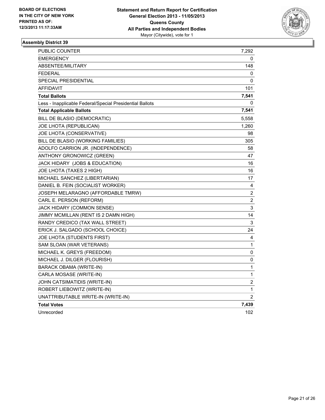

| PUBLIC COUNTER                                           | 7,292                   |
|----------------------------------------------------------|-------------------------|
| <b>EMERGENCY</b>                                         | 0                       |
| ABSENTEE/MILITARY                                        | 148                     |
| <b>FEDERAL</b>                                           | 0                       |
| <b>SPECIAL PRESIDENTIAL</b>                              | 0                       |
| <b>AFFIDAVIT</b>                                         | 101                     |
| <b>Total Ballots</b>                                     | 7,541                   |
| Less - Inapplicable Federal/Special Presidential Ballots | 0                       |
| <b>Total Applicable Ballots</b>                          | 7,541                   |
| BILL DE BLASIO (DEMOCRATIC)                              | 5,558                   |
| JOE LHOTA (REPUBLICAN)                                   | 1,260                   |
| JOE LHOTA (CONSERVATIVE)                                 | 98                      |
| BILL DE BLASIO (WORKING FAMILIES)                        | 305                     |
| ADOLFO CARRION JR. (INDEPENDENCE)                        | 58                      |
| ANTHONY GRONOWICZ (GREEN)                                | 47                      |
| JACK HIDARY (JOBS & EDUCATION)                           | 16                      |
| JOE LHOTA (TAXES 2 HIGH)                                 | 16                      |
| MICHAEL SANCHEZ (LIBERTARIAN)                            | 17                      |
| DANIEL B. FEIN (SOCIALIST WORKER)                        | 4                       |
| JOSEPH MELARAGNO (AFFORDABLE TMRW)                       | 2                       |
| CARL E. PERSON (REFORM)                                  | 2                       |
| JACK HIDARY (COMMON SENSE)                               | 3                       |
| JIMMY MCMILLAN (RENT IS 2 DAMN HIGH)                     | 14                      |
| RANDY CREDICO (TAX WALL STREET)                          | 3                       |
| ERICK J. SALGADO (SCHOOL CHOICE)                         | 24                      |
| JOE LHOTA (STUDENTS FIRST)                               | 4                       |
| SAM SLOAN (WAR VETERANS)                                 | 1                       |
| MICHAEL K. GREYS (FREEDOM)                               | 0                       |
| MICHAEL J. DILGER (FLOURISH)                             | 0                       |
| BARACK OBAMA (WRITE-IN)                                  | 1                       |
| CARLA MOSASE (WRITE-IN)                                  | 1                       |
| JOHN CATSIMATIDIS (WRITE-IN)                             | $\overline{\mathbf{c}}$ |
| ROBERT LIEBOWITZ (WRITE-IN)                              | 1                       |
| UNATTRIBUTABLE WRITE-IN (WRITE-IN)                       | $\overline{2}$          |
| <b>Total Votes</b>                                       | 7,439                   |
| Unrecorded                                               | 102                     |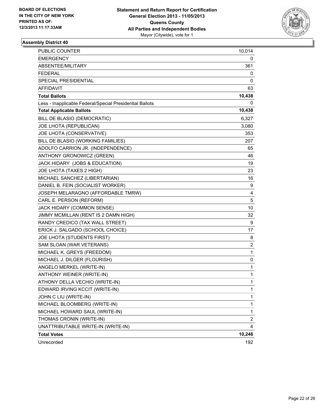

| PUBLIC COUNTER                                           | 10,014                  |
|----------------------------------------------------------|-------------------------|
| <b>EMERGENCY</b>                                         | 0                       |
| ABSENTEE/MILITARY                                        | 361                     |
| <b>FEDERAL</b>                                           | 0                       |
| SPECIAL PRESIDENTIAL                                     | 0                       |
| <b>AFFIDAVIT</b>                                         | 63                      |
| <b>Total Ballots</b>                                     | 10,438                  |
| Less - Inapplicable Federal/Special Presidential Ballots | 0                       |
| <b>Total Applicable Ballots</b>                          | 10,438                  |
| BILL DE BLASIO (DEMOCRATIC)                              | 6,327                   |
| JOE LHOTA (REPUBLICAN)                                   | 3,080                   |
| JOE LHOTA (CONSERVATIVE)                                 | 353                     |
| BILL DE BLASIO (WORKING FAMILIES)                        | 207                     |
| ADOLFO CARRION JR. (INDEPENDENCE)                        | 65                      |
| ANTHONY GRONOWICZ (GREEN)                                | 46                      |
| JACK HIDARY (JOBS & EDUCATION)                           | 19                      |
| JOE LHOTA (TAXES 2 HIGH)                                 | 23                      |
| MICHAEL SANCHEZ (LIBERTARIAN)                            | 16                      |
| DANIEL B. FEIN (SOCIALIST WORKER)                        | 9                       |
| JOSEPH MELARAGNO (AFFORDABLE TMRW)                       | 4                       |
| CARL E. PERSON (REFORM)                                  | 5                       |
| JACK HIDARY (COMMON SENSE)                               | 10                      |
| JIMMY MCMILLAN (RENT IS 2 DAMN HIGH)                     | 32                      |
| RANDY CREDICO (TAX WALL STREET)                          | 9                       |
| ERICK J. SALGADO (SCHOOL CHOICE)                         | 17                      |
| JOE LHOTA (STUDENTS FIRST)                               | 8                       |
| SAM SLOAN (WAR VETERANS)                                 | $\overline{\mathbf{c}}$ |
| MICHAEL K. GREYS (FREEDOM)                               | 1                       |
| MICHAEL J. DILGER (FLOURISH)                             | 0                       |
| ANGELO MERKEL (WRITE-IN)                                 | $\mathbf{1}$            |
| ANTHONY WEINER (WRITE-IN)                                | 1                       |
| ATHONY DELLA VECHIO (WRITE-IN)                           | 1                       |
| EDWARD IRVING KCCIT (WRITE-IN)                           | 1                       |
| JOHN C LIU (WRITE-IN)                                    | 1                       |
| MICHAEL BLOOMBERG (WRITE-IN)                             | $\mathbf{1}$            |
| MICHAEL HOWARD SAUL (WRITE-IN)                           | $\mathbf{1}$            |
| THOMAS CRONIN (WRITE-IN)                                 | $\overline{2}$          |
| UNATTRIBUTABLE WRITE-IN (WRITE-IN)                       | 4                       |
| <b>Total Votes</b>                                       | 10,246                  |
| Unrecorded                                               | 192                     |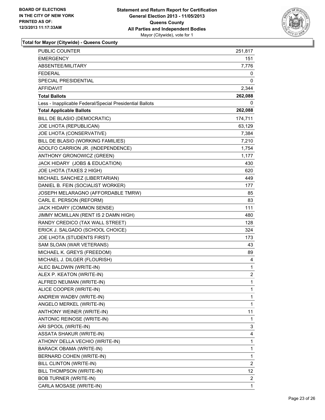

| PUBLIC COUNTER                                           | 251,817                 |
|----------------------------------------------------------|-------------------------|
| <b>EMERGENCY</b>                                         | 151                     |
| ABSENTEE/MILITARY                                        | 7,776                   |
| <b>FEDERAL</b>                                           | 0                       |
| SPECIAL PRESIDENTIAL                                     | 0                       |
| AFFIDAVIT                                                | 2,344                   |
| <b>Total Ballots</b>                                     | 262,088                 |
| Less - Inapplicable Federal/Special Presidential Ballots | 0                       |
| <b>Total Applicable Ballots</b>                          | 262,088                 |
| BILL DE BLASIO (DEMOCRATIC)                              | 174,711                 |
| JOE LHOTA (REPUBLICAN)                                   | 63,129                  |
| JOE LHOTA (CONSERVATIVE)                                 | 7,384                   |
| BILL DE BLASIO (WORKING FAMILIES)                        | 7,210                   |
| ADOLFO CARRION JR. (INDEPENDENCE)                        | 1,754                   |
| ANTHONY GRONOWICZ (GREEN)                                | 1,177                   |
| JACK HIDARY (JOBS & EDUCATION)                           | 430                     |
| JOE LHOTA (TAXES 2 HIGH)                                 | 620                     |
| MICHAEL SANCHEZ (LIBERTARIAN)                            | 449                     |
| DANIEL B. FEIN (SOCIALIST WORKER)                        | 177                     |
| JOSEPH MELARAGNO (AFFORDABLE TMRW)                       | 85                      |
| CARL E. PERSON (REFORM)                                  | 83                      |
| JACK HIDARY (COMMON SENSE)                               | 111                     |
| JIMMY MCMILLAN (RENT IS 2 DAMN HIGH)                     | 480                     |
| RANDY CREDICO (TAX WALL STREET)                          | 128                     |
| ERICK J. SALGADO (SCHOOL CHOICE)                         | 324                     |
| JOE LHOTA (STUDENTS FIRST)                               | 173                     |
| SAM SLOAN (WAR VETERANS)                                 | 43                      |
| MICHAEL K. GREYS (FREEDOM)                               | 89                      |
| MICHAEL J. DILGER (FLOURISH)                             | 4                       |
| ALEC BALDWIN (WRITE-IN)                                  | 1                       |
| ALEX P. KEATON (WRITE-IN)                                | $\overline{\mathbf{c}}$ |
| ALFRED NEUMAN (WRITE-IN)                                 | 1                       |
| ALICE COOPER (WRITE-IN)                                  | 1                       |
| ANDREW WADBV (WRITE-IN)                                  | 1                       |
| ANGELO MERKEL (WRITE-IN)                                 | 1                       |
| ANTHONY WEINER (WRITE-IN)                                | 11                      |
| ANTONIC REINOSE (WRITE-IN)                               | 1                       |
| ARI SPOOL (WRITE-IN)                                     | 3                       |
| <b>ASSATA SHAKUR (WRITE-IN)</b>                          | 4                       |
| ATHONY DELLA VECHIO (WRITE-IN)                           | 1                       |
| BARACK OBAMA (WRITE-IN)                                  | 1                       |
| BERNARD COHEN (WRITE-IN)                                 | 1                       |
| BILL CLINTON (WRITE-IN)                                  | $\overline{c}$          |
| BILL THOMPSON (WRITE-IN)                                 | 12                      |
| <b>BOB TURNER (WRITE-IN)</b>                             | 2                       |
| CARLA MOSASE (WRITE-IN)                                  | 1                       |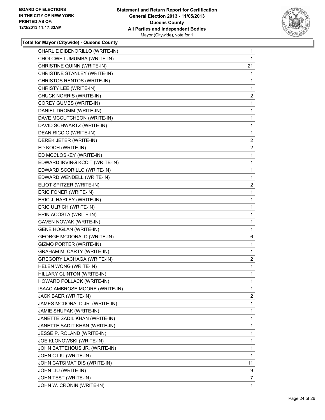

| CHARLIE DIBENORILLO (WRITE-IN)    | 1              |
|-----------------------------------|----------------|
| CHOLCWE LUMUMBA (WRITE-IN)        | 1              |
| CHRISTINE QUINN (WRITE-IN)        | 21             |
| CHRISTINE STANLEY (WRITE-IN)      | 1              |
| CHRISTOS RENTOS (WRITE-IN)        | 1              |
| CHRISTY LEE (WRITE-IN)            | 1              |
| CHUCK NORRIS (WRITE-IN)           | $\mathbf{2}$   |
| COREY GUMBS (WRITE-IN)            | 1              |
| DANIEL DROMM (WRITE-IN)           | 1              |
| DAVE MCCUTCHEON (WRITE-IN)        | 1              |
| DAVID SCHWARTZ (WRITE-IN)         | 1              |
| DEAN RICCIO (WRITE-IN)            | $\mathbf{1}$   |
| DEREK JETER (WRITE-IN)            | 2              |
| ED KOCH (WRITE-IN)                | $\overline{2}$ |
| ED MCCLOSKEY (WRITE-IN)           | 1              |
| EDWARD IRVING KCCIT (WRITE-IN)    | 1              |
| EDWARD SCORILLO (WRITE-IN)        | 1              |
| EDWARD WENDELL (WRITE-IN)         | 1              |
| ELIOT SPITZER (WRITE-IN)          | 2              |
| ERIC FONER (WRITE-IN)             | 1              |
| ERIC J. HARLEY (WRITE-IN)         | 1              |
| ERIC ULRICH (WRITE-IN)            | 1              |
| ERIN ACOSTA (WRITE-IN)            | 1              |
| <b>GAVEN NOWAK (WRITE-IN)</b>     | 1              |
| <b>GENE HOGLAN (WRITE-IN)</b>     | 1              |
| <b>GEORGE MCDONALD (WRITE-IN)</b> | 6              |
| GIZMO PORTER (WRITE-IN)           | 1              |
| GRAHAM M. CARTY (WRITE-IN)        | 1              |
| <b>GREGORY LACHAGA (WRITE-IN)</b> | 2              |
| HELEN WONG (WRITE-IN)             | 1              |
| HILLARY CLINTON (WRITE-IN)        | 1              |
| HOWARD POLLACK (WRITE-IN)         | 1              |
| ISAAC AMBROSE MOORE (WRITE-IN)    | 1              |
| JACK BAER (WRITE-IN)              | $\mathbf{2}$   |
| JAMES MCDONALD JR. (WRITE-IN)     | 1              |
| JAMIE SHUPAK (WRITE-IN)           | 1              |
| JANETTE SADIL KHAN (WRITE-IN)     | 1              |
| JANETTE SADIT KHAN (WRITE-IN)     | 1              |
| JESSE P. ROLAND (WRITE-IN)        | 1              |
| JOE KLONOWSKI (WRITE-IN)          | 1              |
| JOHN BATTEHOUS JR. (WRITE-IN)     | 1              |
| JOHN C LIU (WRITE-IN)             | 1              |
| JOHN CATSIMATIDIS (WRITE-IN)      | 11             |
| JOHN LIU (WRITE-IN)               | 9              |
| JOHN TEST (WRITE-IN)              | 7              |
| JOHN W. CRONIN (WRITE-IN)         | 1.             |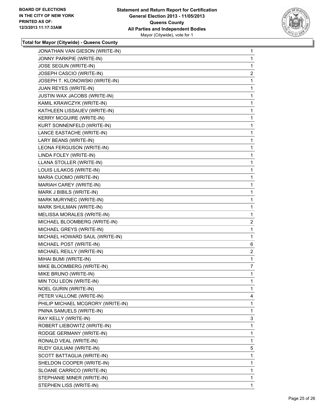

| JONATHAN VAN GIESON (WRITE-IN)    | 1              |
|-----------------------------------|----------------|
| JONNY PARKPIE (WRITE-IN)          | 1              |
| JOSE SEGUN (WRITE-IN)             | 1              |
| JOSEPH CASCIO (WRITE-IN)          | $\overline{c}$ |
| JOSEPH T. KLONOWSKI (WRITE-IN)    | 1              |
| JUAN REYES (WRITE-IN)             | 1              |
| JUSTIN WAX JACOBS (WRITE-IN)      | 1              |
| KAMIL KRAWCZYK (WRITE-IN)         | 1              |
| KATHLEEN LISSAUEV (WRITE-IN)      | 1              |
| <b>KERRY MCGUIRE (WRITE-IN)</b>   | 1              |
| KURT SONNENFELD (WRITE-IN)        | 1              |
| LANCE EASTACHE (WRITE-IN)         | 1              |
| LARY BEANS (WRITE-IN)             | 1              |
| LEONA FERGUSON (WRITE-IN)         | 1              |
| LINDA FOLEY (WRITE-IN)            | 1              |
| LLANA STOLLER (WRITE-IN)          | 1              |
| LOUIS LILAKOS (WRITE-IN)          | 1              |
| MARIA CUOMO (WRITE-IN)            | 1              |
| MARIAH CAREY (WRITE-IN)           | 1              |
| MARK J BIBILS (WRITE-IN)          | 1              |
| MARK MURYNEC (WRITE-IN)           | 1              |
| MARK SHULMAN (WRITE-IN)           | 1              |
| MELISSA MORALES (WRITE-IN)        | 1              |
| MICHAEL BLOOMBERG (WRITE-IN)      | 2              |
| MICHAEL GREYS (WRITE-IN)          | 1              |
| MICHAEL HOWARD SAUL (WRITE-IN)    | 1              |
| MICHAEL POST (WRITE-IN)           | 6              |
| MICHAEL REILLY (WRITE-IN)         | 2              |
| MIHAI BUMI (WRITE-IN)             | 1              |
| MIKE BLOOMBERG (WRITE-IN)         | 7              |
| MIKE BRUNO (WRITE-IN)             | 1              |
| MIN TOU LEON (WRITE-IN)           | 1              |
| <b>NOEL GURIN (WRITE-IN)</b>      | 1              |
| PETER VALLONE (WRITE-IN)          | 4              |
| PHILIP MICHAEL MCGRORY (WRITE-IN) | 1              |
| PNINA SAMUELS (WRITE-IN)          | 1              |
| RAY KELLY (WRITE-IN)              | 3              |
| ROBERT LIEBOWITZ (WRITE-IN)       | 1              |
| RODGE GERMANY (WRITE-IN)          | 1              |
| RONALD VEAL (WRITE-IN)            | 1              |
| RUDY GIULIANI (WRITE-IN)          | 5              |
| SCOTT BATTAGLIA (WRITE-IN)        | 1              |
| SHELDON COOPER (WRITE-IN)         | 1              |
| SLOANE CARRICO (WRITE-IN)         | 1              |
| STEPHANIE MINER (WRITE-IN)        | 1              |
| STEPHEN LISS (WRITE-IN)           | 1              |